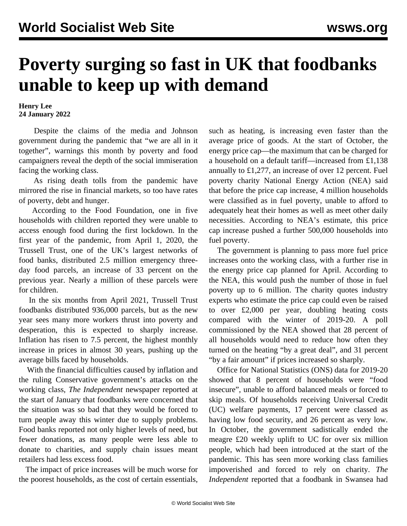## **Poverty surging so fast in UK that foodbanks unable to keep up with demand**

**Henry Lee 24 January 2022**

 Despite the claims of the media and Johnson government during the pandemic that "we are all in it together", warnings this month by poverty and food campaigners reveal the depth of the social immiseration facing the working class.

 As rising death tolls from the pandemic have mirrored the rise in financial markets, so too have rates of poverty, debt and hunger.

 According to the Food Foundation, one in five households with children reported they were unable to access enough food during the first lockdown. In the first year of the pandemic, from April 1, 2020, the Trussell Trust, one of the UK's largest networks of food banks, distributed 2.5 million emergency threeday food parcels, an increase of 33 percent on the previous year. Nearly a million of these parcels were for children.

 In the six months from April 2021, Trussell Trust foodbanks distributed 936,000 parcels, but as the new year sees many more workers thrust into poverty and desperation, this is expected to sharply increase. Inflation has risen to 7.5 percent, the highest monthly increase in prices in almost 30 years, pushing up the average bills faced by households.

 With the financial difficulties caused by inflation and the ruling Conservative government's attacks on the working class, *The Independent* newspaper reported at the start of January that foodbanks were concerned that the situation was so bad that they would be forced to turn people away this winter due to supply problems. Food banks reported not only higher levels of need, but fewer donations, as many people were less able to donate to charities, and supply chain issues meant retailers had less excess food.

 The impact of price increases will be much worse for the poorest households, as the cost of certain essentials,

such as heating, is increasing even faster than the average price of goods. At the start of October, the energy price cap—the maximum that can be charged for a household on a default tariff—increased from £1,138 annually to £1,277, an increase of over 12 percent. Fuel poverty charity National Energy Action (NEA) said that before the price cap increase, 4 million households were classified as in fuel poverty, unable to afford to adequately heat their homes as well as meet other daily necessities. According to NEA's estimate, this price cap increase pushed a further 500,000 households into fuel poverty.

 The government is planning to pass more fuel price increases onto the working class, with a further rise in the energy price cap planned for April. According to the NEA, this would push the number of those in fuel poverty up to 6 million. The charity quotes industry experts who estimate the price cap could even be raised to over £2,000 per year, doubling heating costs compared with the winter of 2019-20. A poll commissioned by the NEA showed that 28 percent of all households would need to reduce how often they turned on the heating "by a great deal", and 31 percent "by a fair amount" if prices increased so sharply.

 Office for National Statistics (ONS) data for 2019-20 showed that 8 percent of households were "food insecure", unable to afford balanced meals or forced to skip meals. Of households receiving Universal Credit (UC) welfare payments, 17 percent were classed as having low food security, and 26 percent as very low. In October, the government sadistically ended the meagre £20 weekly uplift to UC for over six million people, which had been introduced at the start of the pandemic. This has seen more working class families impoverished and forced to rely on charity. *The Independent* reported that a foodbank in Swansea had